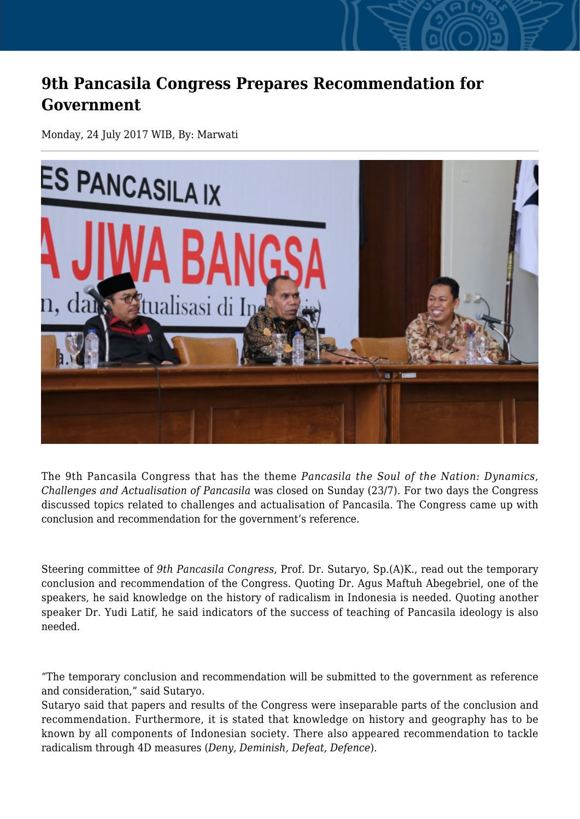## **9th Pancasila Congress Prepares Recommendation for Government**

Monday, 24 July 2017 WIB, By: Marwati



The 9th Pancasila Congress that has the theme *Pancasila the Soul of the Nation: Dynamics, Challenges and Actualisation of Pancasila* was closed on Sunday (23/7). For two days the Congress discussed topics related to challenges and actualisation of Pancasila. The Congress came up with conclusion and recommendation for the government's reference.

Steering committee of *9th Pancasila Congress*, Prof. Dr. Sutaryo, Sp.(A)K., read out the temporary conclusion and recommendation of the Congress. Quoting Dr. Agus Maftuh Abegebriel, one of the speakers, he said knowledge on the history of radicalism in Indonesia is needed. Quoting another speaker Dr. Yudi Latif, he said indicators of the success of teaching of Pancasila ideology is also needed.

"The temporary conclusion and recommendation will be submitted to the government as reference and consideration," said Sutaryo.

Sutaryo said that papers and results of the Congress were inseparable parts of the conclusion and recommendation. Furthermore, it is stated that knowledge on history and geography has to be known by all components of Indonesian society. There also appeared recommendation to tackle radicalism through 4D measures (*Deny, Deminish, Defeat, Defence*).